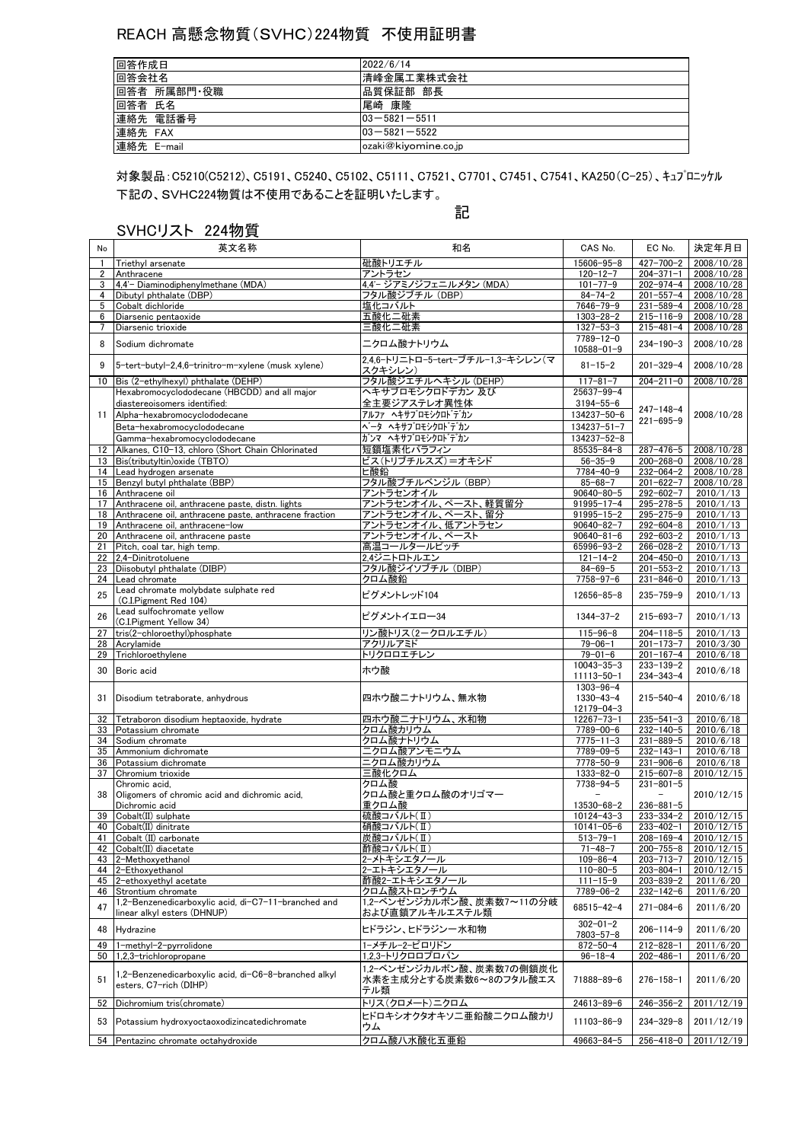## REACH 高懸念物質(SVHC)224物質 不使用証明書

| 回答作成日       | 2022/6/14            |
|-------------|----------------------|
| 回答会社名       | 清峰金属工業株式会社           |
| 回答者 所属部門·役職 | 品質保証部 部長             |
| 回答者 氏名      | 尾崎 康隆                |
| 連絡先 電話番号    | $103 - 5821 - 5511$  |
| 連絡先 FAX     | $103 - 5821 - 5522$  |
| 連絡先 E-mail  | ozaki@kiyomine.co.jp |

下記の、SVHC224物質は不使用であることを証明いたします。 対象製品:C5210(C5212)、C5191、C5240、C5102、C5111、C7521、C7701、C7451、C7541、KA250(C-25)、キュプロニッケル

## SVHCリスト 224物質

## 記

| No             | 英文名称                                                                               | 和名                                                        | CAS No.                                                | EC No.                             | 決定年月日                      |
|----------------|------------------------------------------------------------------------------------|-----------------------------------------------------------|--------------------------------------------------------|------------------------------------|----------------------------|
| $\mathbf{1}$   | Triethyl arsenate                                                                  | 砒酸トリエチル                                                   | $15606 - 95 - 8$                                       | $427 - 700 - 2$                    | 2008/10/28                 |
| $\overline{2}$ | Anthracene                                                                         | アントラセン                                                    | $120 - 12 - 7$                                         | $204 - 371 - 1$                    | 2008/10/28                 |
| 3              | 4,4'- Diaminodiphenylmethane (MDA)                                                 | 4,4'- ジアミノジフェニルメタン (MDA)                                  | $101 - 77 - 9$                                         | 202-974-4                          | 2008/10/28                 |
| 4              | Dibutyl phthalate (DBP)                                                            | フタル酸ジブチル (DBP)                                            | $84 - 74 - 2$                                          | $201 - 557 - 4$                    | 2008/10/28                 |
| 5              | Cobalt dichloride                                                                  | 塩化コバルト                                                    | 7646-79-9                                              | $231 - 589 - 4$                    | 2008/10/28                 |
| 6              | Diarsenic pentaoxide                                                               | 五酸化二砒素                                                    | $1303 - 28 - 2$                                        | $215 - 116 - 9$                    | 2008/10/28                 |
| 7              | Diarsenic trioxide                                                                 | 三酸化二砒素                                                    | $1327 - 53 - 3$                                        | $215 - 481 - 4$                    | 2008/10/28                 |
| 8              | Sodium dichromate                                                                  | ニクロム酸ナトリウム                                                | $7789 - 12 - 0$                                        | $234 - 190 - 3$                    | 2008/10/28                 |
| 9              | 5-tert-butyl-2,4,6-trinitro-m-xylene (musk xylene)                                 | 2,4,6-トリニトロ-5-tert-ブチル-1,3-キシレン(マ                         | $10588 - 01 - 9$<br>$81 - 15 - 2$                      | $201 - 329 - 4$                    | 2008/10/28                 |
|                |                                                                                    | スクキシレン)                                                   |                                                        |                                    |                            |
| 10             | Bis (2-ethylhexyl) phthalate (DEHP)                                                | フタル酸ジエチルヘキシル (DEHP)                                       | $117 - 81 - 7$                                         | $204 - 211 - 0$                    | 2008/10/28                 |
|                | Hexabromocyclododecane (HBCDD) and all major                                       | ヘキサブロモシクロドデカン 及び                                          | 25637-99-4                                             |                                    |                            |
|                | diastereoisomers identified:                                                       | 全主要ジアステレオ異性体                                              | $3194 - 55 - 6$                                        | $247 - 148 - 4$                    |                            |
| 11             | Alpha-hexabromocyclododecane                                                       | アルファ ヘキサブロモシクロト゛テ゛カン                                      | 134237-50-6                                            | $221 - 695 - 9$                    | 2008/10/28                 |
|                | Beta-hexabromocyclododecane                                                        | <b>ベータ ヘキサブロモシクロトデカン</b>                                  | $134237 - 51 - 7$                                      |                                    |                            |
|                | Gamma-hexabromocyclododecane                                                       | ガンマ ヘキサブロモシクロトデカン                                         | 134237-52-8                                            |                                    |                            |
| 12             | Alkanes, C10-13, chloro (Short Chain Chlorinated                                   | 短鎖塩素化パラフィン                                                | 85535-84-8                                             | 287-476-5                          | 2008/10/28                 |
|                | 13 Bis(tributyltin) oxide (TBTO)                                                   | ビス(トリブチルスズ)=オキシド                                          | $56 - 35 - 9$                                          | 200-268-0                          | 2008/10/28                 |
|                | 14 Lead hydrogen arsenate                                                          | ヒ酸鉛                                                       | $7784 - 40 - 9$                                        | 232-064-2                          | 2008/10/28                 |
|                | 15 Benzyl butyl phthalate (BBP)                                                    | フタル酸ブチルベンジル (BBP)                                         | $85 - 68 - 7$                                          | $201 - 622 - 7$                    | 2008/10/28                 |
|                | 16 Anthracene oil                                                                  | アントラセンオイル                                                 | $90640 - 80 - 5$                                       | 292-602-7                          | 2010/1/13                  |
| 17             | Anthracene oil, anthracene paste, distn. lights                                    | アントラセンオイル、ペースト、軽質留分                                       | $91995 - 17 - 4$                                       | 295-278-5                          | $2010/1/\overline{13}$     |
|                | 18 Anthracene oil, anthracene paste, anthracene fraction                           | アントラセンオイル、ペースト、留分                                         | $91995 - 15 - 2$                                       | 295-275-9                          | 2010/1/13                  |
| 19             | Anthracene oil, anthracene-low                                                     | アントラセンオイル、低アントラセン                                         | $90640 - 82 - 7$                                       | 292-604-8                          | 2010/1/13                  |
| 20             | Anthracene oil, anthracene paste                                                   | アントラセンオイル、ペースト                                            | $90640 - 81 - 6$                                       | $292 - 603 - 2$                    | 2010/1/13                  |
| 21             | Pitch, coal tar, high temp.                                                        | 高温コールタールピッチ                                               | 65996-93-2                                             | 266-028-2                          | 2010/1/13                  |
| 22             | 2.4-Dinitrotoluene                                                                 | 2.4ジニトロトルエン                                               | $121 - 14 - 2$                                         | 204-450-0                          | 2010/1/13                  |
| 23             | Diisobutyl phthalate (DIBP)                                                        | フタル酸ジイソブチル(DIBP)                                          | $84 - 69 - 5$                                          | $201 - 553 - 2$                    | 2010/1/13                  |
| 24             | Lead chromate                                                                      | クロム酸鉛                                                     | $7758 - 97 - 6$                                        | $231 - 846 - 0$                    | 2010/1/13                  |
| 25             | Lead chromate molybdate sulphate red<br>(C.I.Pigment Red 104)                      | ピグメントレッド104                                               | $12656 - 85 - 8$                                       | $235 - 759 - 9$                    | 2010/1/13                  |
| 26             | Lead sulfochromate yellow<br>(C.I.Pigment Yellow 34)                               | ピグメントイエロー34                                               | $1344 - 37 - 2$                                        | $215 - 693 - 7$                    | 2010/1/13                  |
| 27             | tris(2-chloroethyl)phosphate                                                       | リン酸トリス(2ークロルエチル)                                          | $115 - 96 - 8$                                         | $204 - 118 - 5$                    | 2010/1/13                  |
| 28             | Acrylamide                                                                         | アクリルアミド                                                   | $79 - 06 - 1$                                          | $201 - 173 - 7$                    | 2010/3/30                  |
| 29             | Trichloroethylene                                                                  | トリクロロエチレン                                                 | $79 - 01 - 6$                                          | $201 - 167 - 4$                    | 2010/6/18                  |
| 30             | Boric acid                                                                         | ホウ酸                                                       | $10043 - 35 - 3$<br>$11113 - 50 - 1$                   | $233 - 139 - 2$<br>$234 - 343 - 4$ | 2010/6/18                  |
| 31             | Disodium tetraborate, anhydrous                                                    | 四ホウ酸ニナトリウム、無水物                                            | $1303 - 96 - 4$<br>$1330 - 43 - 4$<br>$12179 - 04 - 3$ | $215 - 540 - 4$                    | 2010/6/18                  |
| 32             | Tetraboron disodium heptaoxide, hydrate                                            | 四ホウ酸ニナトリウム、水和物                                            | $12267 - 73 - 1$                                       | $235 - 541 - 3$                    | 2010/6/18                  |
|                | 33 Potassium chromate                                                              | クロム酸カリウム                                                  | 7789-00-6                                              | 232-140-5                          | 2010/6/18                  |
|                | 34 Sodium chromate                                                                 | クロム酸ナトリウム                                                 | $7775 - 11 - 3$                                        | $231 - 889 - 5$                    | 2010/6/18                  |
| 35             | Ammonium dichromate                                                                | ニクロム酸アンモニウム                                               | 7789-09-5                                              | $232 - 143 - 1$                    | 2010/6/18                  |
|                | 36 Potassium dichromate                                                            | ニクロム酸カリウム                                                 | 7778-50-9                                              | $231 - 906 - 6$                    | 2010/6/18                  |
| 37             | Chromium trioxide                                                                  | 三酸化クロム                                                    | $1333 - 82 - 0$                                        | $215 - 607 - 8$                    | 2010/12/15                 |
|                | Chromic acid,                                                                      | クロム酸                                                      | 7738-94-5                                              | $231 - 801 - 5$                    |                            |
| 38             | Oligomers of chromic acid and dichromic acid,                                      | クロム酸と重クロム酸のオリゴマー                                          |                                                        |                                    | 2010/12/15                 |
|                | Dichromic acid                                                                     | 重クロム酸                                                     | 13530-68-2                                             | $236 - 881 - 5$                    |                            |
| 39             | Cobalt(II) sulphate                                                                | 硫酸コバルト(Ⅱ)                                                 | $10124 - 43 - 3$                                       | $233 - 334 - 2$                    | 2010/12/15                 |
| 40             | Cobalt(II) dinitrate                                                               | 硝酸コバルト(Ⅱ)                                                 | $10141 - 05 - 6$                                       | 233-402-1                          | 2010/12/15                 |
| 41             | Cobalt (II) carbonate                                                              | 炭酸コバルト(Ⅱ)                                                 | $513 - 79 - 1$                                         | $208 - 169 - 4$                    | 2010/12/15                 |
|                | 42 Cobalt(II) diacetate                                                            | 酢酸コバルト(Ⅱ)                                                 | $71 - 48 - 7$                                          | $200 - 755 - 8$                    | 2010/12/15                 |
|                | 43 2-Methoxyethanol                                                                | 2-メトキシエタノール                                               | $109 - 86 - 4$                                         | $203 - 713 - 7$                    | 2010/12/15                 |
|                | 44 2-Ethoxyethanol                                                                 | 2-エトキシエタノール                                               | $110 - 80 - 5$                                         | $203 - 804 - 1$                    | 2010/12/15                 |
|                | 45 2-ethoxyethyl acetate                                                           | 酢酸2ーエトキシエタノール                                             | $111 - 15 - 9$                                         | $203 - 839 - 2$                    | 2011/6/20                  |
| 46             | Strontium chromate                                                                 | クロム酸ストロンチウム                                               | 7789-06-2                                              | $232 - 142 - 6$                    | 2011/6/20                  |
| 47             | 1,2-Benzenedicarboxylic acid, di-C7-11-branched and<br>linear alkyl esters (DHNUP) | 1,2-ベンゼンジカルボン酸、炭素数7~11の分岐<br>および直鎖アルキルエステル類               | $68515 - 42 - 4$                                       | $271 - 084 - 6$                    | 2011/6/20                  |
| 48             | Hydrazine                                                                          | ヒドラジン、ヒドラジン一水和物                                           | $302 - 01 - 2$<br>$7803 - 57 - 8$                      | $206 - 114 - 9$                    | 2011/6/20                  |
| 49             | 1-methyl-2-pyrrolidone                                                             | 1-メチル-2-ピロリドン                                             | $872 - 50 - 4$                                         | $212 - 828 - 1$                    | 2011/6/20                  |
|                | 50 1.2.3-trichloropropane                                                          | 1.2.3-トリクロロプロパン                                           | $96 - 18 - 4$                                          | $202 - 486 - 1$                    | 2011/6/20                  |
| 51             | 1,2-Benzenedicarboxylic acid, di-C6-8-branched alkyl<br>esters. C7-rich (DIHP)     | 1,2ーベンゼンジカルボン酸、炭素数7の側鎖炭化<br>水素を主成分とする炭素数6~8のフタル酸エス<br>テル類 | 71888-89-6                                             | $276 - 158 - 1$                    | 2011/6/20                  |
| 52             | Dichromium tris(chromate)                                                          | トリス(クロメート)ニクロム                                            | 24613-89-6                                             | $246 - 356 - 2$                    | 2011/12/19                 |
|                |                                                                                    | ヒドロキシオクタオキソニ亜鉛酸ニクロム酸カリ                                    |                                                        |                                    |                            |
| 53             | Potassium hydroxyoctaoxodizincatedichromate                                        | ウム                                                        | 11103-86-9                                             | $234 - 329 - 8$                    | 2011/12/19                 |
|                | 54 Pentazinc chromate octahydroxide                                                | クロム酸八水酸化五亜鉛                                               | 49663-84-5                                             |                                    | $256 - 418 - 0$ 2011/12/19 |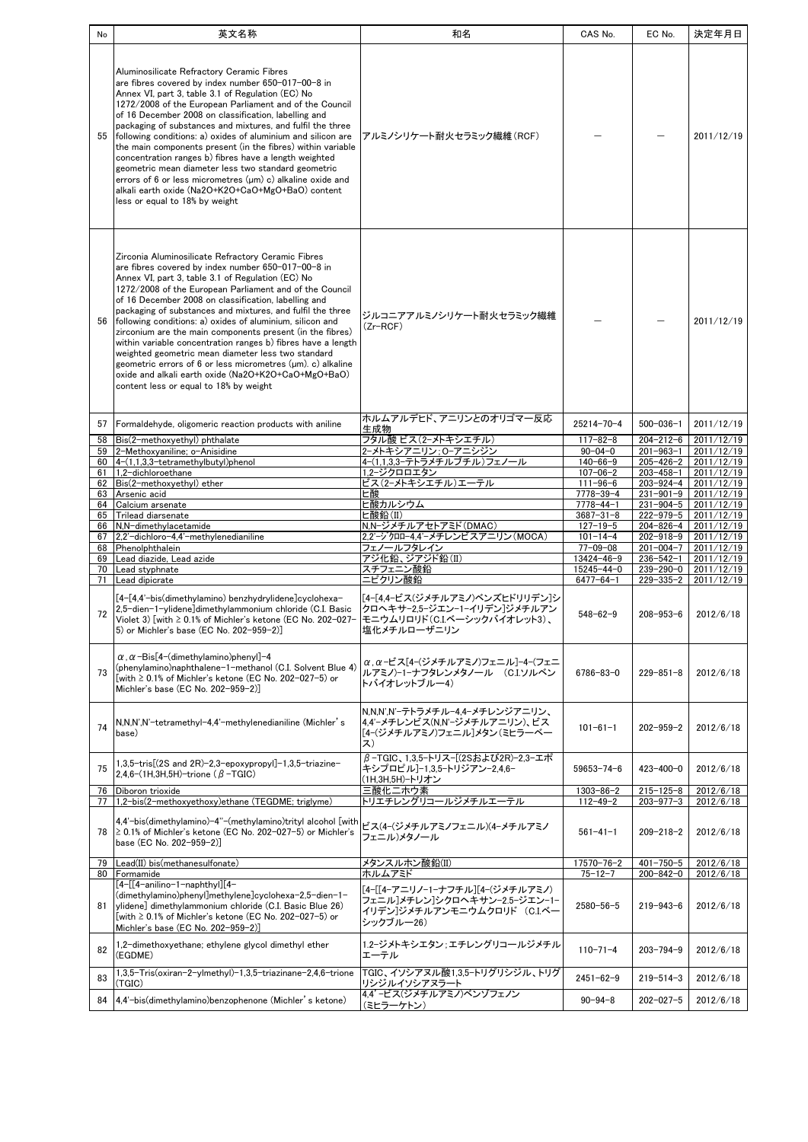| No | 英文名称                                                                                                                                                                                                                                                                                                                                                                                                                                                                                                                                                                                                                                                                                                                                                                   | 和名                                                                                                                   | CAS No.                            | EC No.                             | 決定年月日                    |
|----|------------------------------------------------------------------------------------------------------------------------------------------------------------------------------------------------------------------------------------------------------------------------------------------------------------------------------------------------------------------------------------------------------------------------------------------------------------------------------------------------------------------------------------------------------------------------------------------------------------------------------------------------------------------------------------------------------------------------------------------------------------------------|----------------------------------------------------------------------------------------------------------------------|------------------------------------|------------------------------------|--------------------------|
| 55 | Aluminosilicate Refractory Ceramic Fibres<br>are fibres covered by index number 650-017-00-8 in<br>Annex VI, part 3, table 3.1 of Regulation (EC) No<br>1272/2008 of the European Parliament and of the Council<br>of 16 December 2008 on classification, labelling and<br>packaging of substances and mixtures, and fulfil the three<br>following conditions: a) oxides of aluminium and silicon are<br>the main components present (in the fibres) within variable<br>concentration ranges b) fibres have a length weighted<br>geometric mean diameter less two standard geometric<br>errors of 6 or less micrometres (um) c) alkaline oxide and<br>alkali earth oxide (Na2O+K2O+CaO+MgO+BaO) content<br>less or equal to 18% by weight                              | アルミノシリケート耐火セラミック繊維(RCF)                                                                                              |                                    |                                    | 2011/12/19               |
| 56 | Zirconia Aluminosilicate Refractory Ceramic Fibres<br>are fibres covered by index number 650-017-00-8 in<br>Annex VI, part 3, table 3.1 of Regulation (EC) No<br>1272/2008 of the European Parliament and of the Council<br>of 16 December 2008 on classification, labelling and<br>packaging of substances and mixtures, and fulfil the three<br>following conditions: a) oxides of aluminium, silicon and<br>zirconium are the main components present (in the fibres)<br>within variable concentration ranges b) fibres have a length<br>weighted geometric mean diameter less two standard<br>geometric errors of $6$ or less micrometres $(\mu m)$ . c) alkaline<br>oxide and alkali earth oxide (Na2O+K2O+CaO+MgO+BaO)<br>content less or equal to 18% by weight | ジルコニアアルミノシリケート耐火セラミック繊維<br>(Zr-RCF)                                                                                  |                                    |                                    | 2011/12/19               |
| 57 | Formaldehyde, oligomeric reaction products with aniline                                                                                                                                                                                                                                                                                                                                                                                                                                                                                                                                                                                                                                                                                                                | ホルムアルデヒド、アニリンとのオリゴマ一反応                                                                                               | 25214-70-4                         | $500 - 036 - 1$                    | 2011/12/19               |
| 58 | Bis(2-methoxyethyl) phthalate                                                                                                                                                                                                                                                                                                                                                                                                                                                                                                                                                                                                                                                                                                                                          | 生成物<br>フタル酸 ビス(2ーメトキシエチル)                                                                                            | $117 - 82 - 8$                     | $204 - 212 - 6$                    | 2011/12/19               |
|    | 59   2-Methoxyaniline; o-Anisidine                                                                                                                                                                                                                                                                                                                                                                                                                                                                                                                                                                                                                                                                                                                                     | 2ーメトキシアニリン:0ーアニシジン                                                                                                   | $90 - 04 - 0$                      | $201 - 963 - 1$                    | 2011/12/19               |
|    | 60 4-(1,1,3,3-tetramethylbutyl)phenol<br>61 1,2-dichloroethane                                                                                                                                                                                                                                                                                                                                                                                                                                                                                                                                                                                                                                                                                                         | 4-(1,1,3,3-テトラメチルブチル)フェノール<br>1,2-ジクロロエタン                                                                            | $140 - 66 - 9$<br>$107 - 06 - 2$   | $205 - 426 - 2$<br>$203 - 458 - 1$ | 2011/12/19<br>2011/12/19 |
|    | 62 Bis(2-methoxyethyl) ether                                                                                                                                                                                                                                                                                                                                                                                                                                                                                                                                                                                                                                                                                                                                           | ビス(2-メトキシエチル)エーテル                                                                                                    | $111 - 96 - 6$                     | $203 - 924 - 4$                    | 2011/12/19               |
|    | 63 Arsenic acid                                                                                                                                                                                                                                                                                                                                                                                                                                                                                                                                                                                                                                                                                                                                                        | ヒ酸                                                                                                                   | 7778-39-4                          | 231-901-9                          | 2011/12/19               |
|    | 64 Calcium arsenate<br>65 Trilead diarsenate                                                                                                                                                                                                                                                                                                                                                                                                                                                                                                                                                                                                                                                                                                                           | ヒ酸カルシウム<br>ヒ酸鉛(II)                                                                                                   | $7778 - 44 - 1$<br>$3687 - 31 - 8$ | $231 - 904 - 5$<br>$222 - 979 - 5$ | 2011/12/19<br>2011/12/19 |
|    | 66 N,N-dimethylacetamide                                                                                                                                                                                                                                                                                                                                                                                                                                                                                                                                                                                                                                                                                                                                               | N,N-ジメチルアセトアミド(DMAC)                                                                                                 | $127 - 19 - 5$                     | 204-826-4                          | 2011/12/19               |
|    | 67 2.2'-dichloro-4.4'-methylenedianiline                                                                                                                                                                                                                                                                                                                                                                                                                                                                                                                                                                                                                                                                                                                               | 2.2'-ジクロロー4.4'ーメチレンビスアニリン(MOCA)                                                                                      | $101 - 14 - 4$                     | 202-918-9                          | 2011/12/19               |
|    | 68 Phenolphthalein<br>69 Lead diazide, Lead azide                                                                                                                                                                                                                                                                                                                                                                                                                                                                                                                                                                                                                                                                                                                      | フェノールフタレイン<br>アジ化鉛、ジアジド鉛(II)                                                                                         | $77 - 09 - 08$<br>13424-46-9       | $201 - 004 - 7$<br>$236 - 542 - 1$ | 2011/12/19               |
|    | 70 Lead styphnate                                                                                                                                                                                                                                                                                                                                                                                                                                                                                                                                                                                                                                                                                                                                                      | スチフェニン酸鉛                                                                                                             | $15245 - 44 - 0$                   | 239-290-0                          | 2011/12/19<br>2011/12/19 |
|    | 71 Lead dipicrate                                                                                                                                                                                                                                                                                                                                                                                                                                                                                                                                                                                                                                                                                                                                                      | ニピクリン酸鉛                                                                                                              | $6477 - 64 - 1$                    | $229 - 335 - 2$                    | 2011/12/19               |
| 72 | [4-[4,4'-bis(dimethylamino) benzhydrylidene]cyclohexa-<br>2,5-dien-1-ylidene]dimethylammonium chloride (C.I. Basic<br>Violet 3) [with ≥ 0.1% of Michler's ketone (EC No. 202–027–<br>5) or Michler's base (EC No. 202-959-2)]                                                                                                                                                                                                                                                                                                                                                                                                                                                                                                                                          | [4-[4,4-ビス(ジメチルアミノ)ベンズヒドリリデン]シ<br>クロヘキサー2,5ージエンー1ーイリデン]ジメチルアン<br>モニウムリロリド(C.I.ベーシックバイオレット3)、<br>塩化メチルローザニリン          | $548 - 62 - 9$                     | $208 - 953 - 6$                    | 2012/6/18                |
| 73 | $\alpha$ , $\alpha$ -Bis[4-(dimethylamino)phenyl]-4<br>(phenylamino)naphthalene-1-methanol (C.I. Solvent Blue 4)<br>[with ≥ 0.1% of Michler's ketone (EC No. 202-027-5) or<br>Michler's base (EC No. 202-959-2)]                                                                                                                                                                                                                                                                                                                                                                                                                                                                                                                                                       | α, α-ビス[4-(ジメチルアミノ)フェニル]-4-(フェニ<br>ルアミノ)-1-ナフタレンメタノール (C.I.ソルベン<br>トバイオレットブルー4)                                      | $6786 - 83 - 0$                    | $229 - 851 - 8$                    | 2012/6/18                |
| 74 | N,N,N',N'-tetramethyl-4,4'-methylenedianiline (Michler's<br>base)                                                                                                                                                                                                                                                                                                                                                                                                                                                                                                                                                                                                                                                                                                      | N.N.N'.N'-テトラメチル-4.4-メチレンジアニリン、<br> 4,4'−メチレンビス(N,N'−ジメチルアニリン)、ビス<br>「4-(ジメチルアミノ)フェニル]メタン(ミヒラーベー<br>ス)               | $101 - 61 - 1$                     | $202 - 959 - 2$                    | 2012/6/18                |
| 75 | 1,3,5-tris[(2S and 2R)-2,3-epoxypropyl]-1,3,5-triazine-<br>2,4,6- $(1H, 3H, 5H)$ -trione $(\beta$ -TGIC)                                                                                                                                                                                                                                                                                                                                                                                                                                                                                                                                                                                                                                                               | β-TGIC、1,3,5-トリス-[(2Sおよび2R)-2,3-エボ<br>キシプロピル]-1.3.5-トリジアン-2.4.6-<br>(1H,3H,5H)-トリオン                                  | $59653 - 74 - 6$                   | 423-400-0                          | 2012/6/18                |
| 76 | Diboron trioxide<br>77 1,2-bis(2-methoxyethoxy)ethane (TEGDME; triglyme)                                                                                                                                                                                                                                                                                                                                                                                                                                                                                                                                                                                                                                                                                               | 三酸化ニホウ素<br>トリエチレングリコールジメチルエーテル                                                                                       | $1303 - 86 - 2$<br>$112 - 49 - 2$  | $215 - 125 - 8$<br>$203 - 977 - 3$ | 2012/6/18<br>2012/6/18   |
| 78 | 4.4'-bis(dimethylamino)-4"-(methylamino)trityl alcohol [with]<br>$\geq$ 0.1% of Michler's ketone (EC No. 202-027-5) or Michler's<br>base (EC No. 202-959-2)]                                                                                                                                                                                                                                                                                                                                                                                                                                                                                                                                                                                                           | ビス(4-(ジメチルアミノフェニル)(4-メチルアミノ<br>フェニル)メタノール                                                                            | $561 - 41 - 1$                     | $209 - 218 - 2$                    | 2012/6/18                |
| 79 | Lead(II) bis(methanesulfonate)                                                                                                                                                                                                                                                                                                                                                                                                                                                                                                                                                                                                                                                                                                                                         | メタンスルホン酸鉛(II)                                                                                                        | 17570-76-2                         | $401 - 750 - 5$                    | 2012/6/18                |
| 81 | 80 Formamide<br>[4-[[4-anilino-1-naphthyl][4-<br>(dimethylamino)phenyl]methylene]cyclohexa−2,5-dien−1−<br>ylidene] dimethylammonium chloride (C.I. Basic Blue 26)<br>[with ≥ 0.1% of Michler's ketone (EC No. 202-027-5) or<br>Michler's base (EC No. 202-959-2)]                                                                                                                                                                                                                                                                                                                                                                                                                                                                                                      | ホルムアミド<br>[4-[[4-アニリノ-1-ナフチル][4-(ジメチルアミノ)<br>フェニル]メチレン]シクロヘキサン-2.5-ジエン-1-<br>イリデン]ジメチルアンモニウムクロリド (C.Iベー<br>シックブルー26) | $75 - 12 - 7$<br>2580-56-5         | $200 - 842 - 0$<br>$219 - 943 - 6$ | 2012/6/18<br>2012/6/18   |
| 82 | 1,2-dimethoxyethane; ethylene glycol dimethyl ether<br>(EGDME)                                                                                                                                                                                                                                                                                                                                                                                                                                                                                                                                                                                                                                                                                                         | 1.2ージメトキシエタン:エチレングリコールジメチル<br>エーテル                                                                                   | $110 - 71 - 4$                     | $203 - 794 - 9$                    | 2012/6/18                |
| 83 | 1,3,5-Tris(oxiran-2-ylmethyl)-1,3,5-triazinane-2,4,6-trione<br>(TGIC)                                                                                                                                                                                                                                                                                                                                                                                                                                                                                                                                                                                                                                                                                                  | TGIC、イソシアヌル酸1,3,5-トリグリシジル、トリグ<br>リシジルイソシアヌラート                                                                        | $2451 - 62 - 9$                    | $219 - 514 - 3$                    | 2012/6/18                |
| 84 | 4.4'-bis(dimethylamino)benzophenone (Michler's ketone)                                                                                                                                                                                                                                                                                                                                                                                                                                                                                                                                                                                                                                                                                                                 | 4,4'-ビス(ジメチルアミノ)ベンゾフェノン<br>(ミヒラーケトン)                                                                                 | $90 - 94 - 8$                      | $202 - 027 - 5$                    | 2012/6/18                |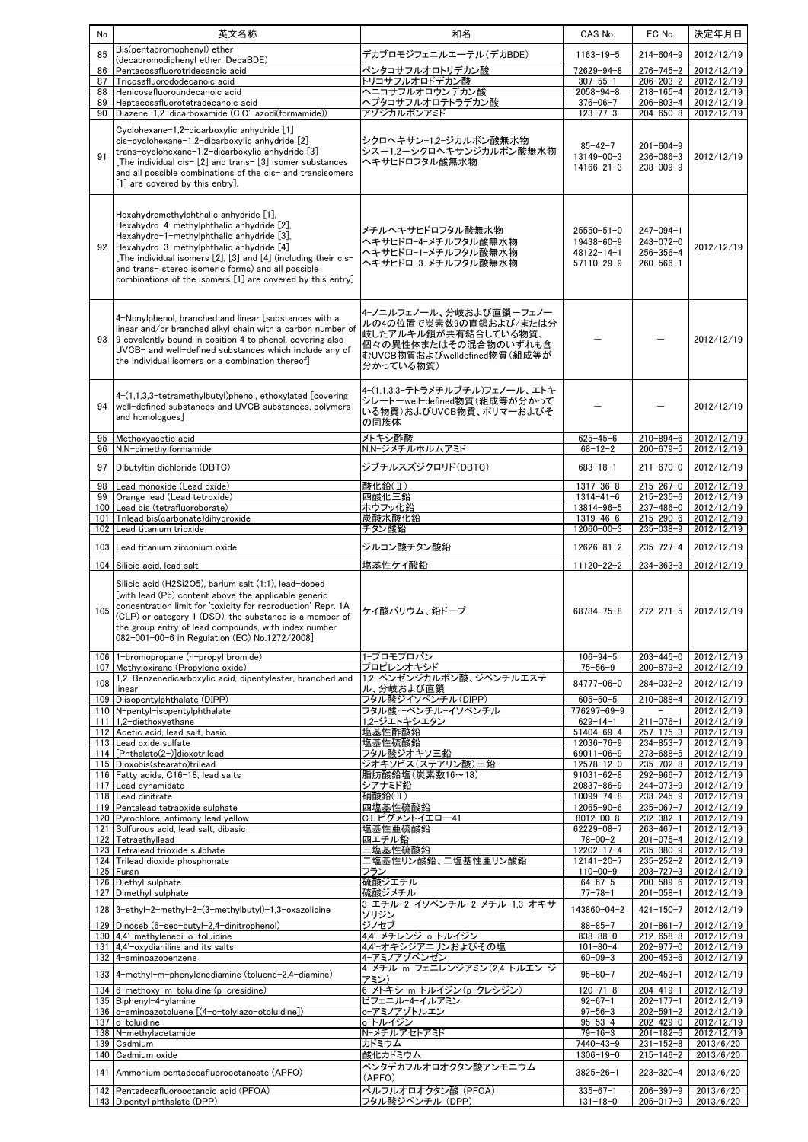| No         | 英文名称                                                                                                                                                                                                                                                                                                                                                                        | 和名                                                                                                                                             | CAS No.                                                    | EC No.                                                                   | 決定年月日                                      |
|------------|-----------------------------------------------------------------------------------------------------------------------------------------------------------------------------------------------------------------------------------------------------------------------------------------------------------------------------------------------------------------------------|------------------------------------------------------------------------------------------------------------------------------------------------|------------------------------------------------------------|--------------------------------------------------------------------------|--------------------------------------------|
| 85         | Bis(pentabromophenyl) ether<br>(decabromodiphenyl ether; DecaBDE)                                                                                                                                                                                                                                                                                                           | デカブロモジフェニルエーテル(デカBDE)                                                                                                                          | $1163 - 19 - 5$                                            | $214 - 604 - 9$                                                          | 2012/12/19                                 |
| 86         | Pentacosafluorotridecanoic acid                                                                                                                                                                                                                                                                                                                                             | ペンタコサフルオロトリデカン酸                                                                                                                                | 72629-94-8                                                 | $276 - 745 - 2$                                                          | 2012/12/19                                 |
| 87         | Tricosafluorododecanoic acid                                                                                                                                                                                                                                                                                                                                                | トリコサフルオロドデカン酸                                                                                                                                  | $307 - 55 - 1$                                             | 206-203-2                                                                | 2012/12/19                                 |
| 88<br>89   | Henicosafluoroundecanoic acid<br>Heptacosafluorotetradecanoic acid                                                                                                                                                                                                                                                                                                          | ヘプタコサフルオロテトラデカン酸                                                                                                                               | $2058 - 94 - 8$<br>$376 - 06 - 7$                          | $218 - 165 - 4$<br>206-803-4                                             | 2012/12/19<br>2012/12/19                   |
|            | 90   Diazene-1,2-dicarboxamide (C,C'-azodi(formamide))                                                                                                                                                                                                                                                                                                                      | アゾジカルボンアミド                                                                                                                                     | $123 - 77 - 3$                                             | 204-650-8                                                                | 2012/12/19                                 |
| 91         | Cyclohexane-1,2-dicarboxylic anhydride [1]<br>cis-cyclohexane-1,2-dicarboxylic anhydride [2]<br>trans-cyclohexane-1,2-dicarboxylic anhydride [3]<br>[The individual cis- [2] and trans- [3] isomer substances<br>and all possible combinations of the cis- and transisomers<br>[1] are covered by this entry].                                                              | シクロヘキサンー1.2ージカルボン酸無水物<br>シスー1.2ーシクロヘキサンジカルボン酸無水物<br>ヘキサヒドロフタル酸無水物                                                                              | $85 - 42 - 7$<br>13149-00-3<br>$14166 - 21 - 3$            | $201 - 604 - 9$<br>$236 - 086 - 3$<br>$238 - 009 - 9$                    | 2012/12/19                                 |
|            | Hexahydromethylphthalic anhydride [1],<br>Hexahydro-4-methylphthalic anhydride [2],<br>Hexahydro-1-methylphthalic anhydride [3],<br>92 Hexahydro-3-methylphthalic anhydride [4]<br>[The individual isomers $[2]$ , $[3]$ and $[4]$ (including their cis-<br>and trans-stereo isomeric forms) and all possible<br>combinations of the isomers [1] are covered by this entry] | メチルヘキサヒドロフタル酸無水物<br>ヘキサヒドロー4ーメチルフタル酸無水物<br>ヘキサヒドロー1ーメチルフタル酸無水物<br>ヘキサヒドロー3ーメチルフタル酸無水物                                                          | $25550 - 51 - 0$<br>19438-60-9<br>48122-14-1<br>57110-29-9 | $247 - 094 - 1$<br>$243 - 072 - 0$<br>$256 - 356 - 4$<br>$260 - 566 - 1$ | 2012/12/19                                 |
|            | 4-Nonylphenol, branched and linear [substances with a<br>linear and/or branched alkyl chain with a carbon number of<br>93 9 covalently bound in position 4 to phenol, covering also<br>UVCB- and well-defined substances which include any of<br>the individual isomers or a combination thereof]                                                                           | 4-ノニルフェノール、分岐および直鎖-フェノー<br>ルの4の位置で炭素数9の直鎖および/または分<br>岐したアルキル鎖が共有結合している物質、<br>個々の異性体またはその混合物のいずれも含<br>むUVCB物質およびwelldefined物質(組成等が<br>分かっている物質) |                                                            |                                                                          | 2012/12/19                                 |
| 94         | 4-(1,1,3,3-tetramethylbutyl)phenol, ethoxylated [covering<br>well-defined substances and UVCB substances, polymers<br>and homologues]                                                                                                                                                                                                                                       | 4-(1,1,3,3-テトラメチルブチル)フェノール、エトキ<br>シレートーwell-defined物質(組成等が分かって<br>いる物質)およびUVCB物質、ポリマーおよびそ<br>の同族体                                              |                                                            |                                                                          | 2012/12/19                                 |
| 95<br>96   | Methoxyacetic acid<br>N,N-dimethylformamide                                                                                                                                                                                                                                                                                                                                 | メトキシ酢酸<br>N.N-ジメチルホルムアミド                                                                                                                       | $625 - 45 - 6$<br>$68 - 12 - 2$                            | $210 - 894 - 6$<br>200-679-5                                             | 2012/12/19<br>2012/12/19                   |
| 97         | Dibutyltin dichloride (DBTC)                                                                                                                                                                                                                                                                                                                                                | ジブチルスズジクロリド(DBTC)                                                                                                                              | $683 - 18 - 1$                                             | $211 - 670 - 0$                                                          | 2012/12/19                                 |
| 98         | Lead monoxide (Lead oxide)                                                                                                                                                                                                                                                                                                                                                  | 酸化鉛(Ⅱ)                                                                                                                                         | $1317 - 36 - 8$                                            | $215 - 267 - 0$                                                          | 2012/12/19                                 |
| 99         | Orange lead (Lead tetroxide)                                                                                                                                                                                                                                                                                                                                                | 四酸化三鉛                                                                                                                                          | $1314 - 41 - 6$                                            | $215 - 235 - 6$                                                          | 2012/12/19                                 |
|            | 100 Lead bis (tetrafluoroborate)                                                                                                                                                                                                                                                                                                                                            | ホウフッ化鉛                                                                                                                                         | 13814-96-5                                                 | 237-486-0                                                                | 2012/12/19                                 |
| 101<br>102 | Trilead bis(carbonate)dihydroxide<br>Lead titanium trioxide                                                                                                                                                                                                                                                                                                                 | 炭酸水酸化鉛<br>チタン酸鉛                                                                                                                                | $1319 - 46 - 6$<br>$12060 - 00 - 3$                        | $215 - 290 - 6$<br>235-038-9                                             | 2012/12/19<br>2012/12/19                   |
|            |                                                                                                                                                                                                                                                                                                                                                                             |                                                                                                                                                |                                                            |                                                                          |                                            |
|            | 103 Lead titanium zirconium oxide<br>104 Silicic acid, lead salt                                                                                                                                                                                                                                                                                                            | ジルコン酸チタン酸鉛<br>塩基性ケイ酸鉛                                                                                                                          | $12626 - 81 - 2$<br>$11120 - 22 - 2$                       | $235 - 727 - 4$<br>$234 - 363 - 3$                                       | 2012/12/19<br>2012/12/19                   |
| 105        | Silicic acid (H2Si2O5), barium salt (1:1), lead-doped<br>[with lead (Pb) content above the applicable generic<br>concentration limit for 'toxicity for reproduction' Repr. 1A<br>(CLP) or category 1 (DSD); the substance is a member of<br>the group entry of lead compounds, with index number<br>082-001-00-6 in Regulation (EC) No.1272/2008]                           | ケイ酸バリウム、鉛ドープ                                                                                                                                   | 68784-75-8                                                 | $272 - 271 - 5$                                                          | 2012/12/19                                 |
|            | 106 1-bromopropane (n-propyl bromide)                                                                                                                                                                                                                                                                                                                                       | 1-ブロモプロパン                                                                                                                                      | $106 - 94 - 5$                                             |                                                                          | 203-445-0 2012/12/19                       |
|            | 107 Methyloxirane (Propylene oxide)<br>1,2-Benzenedicarboxylic acid, dipentylester, branched and                                                                                                                                                                                                                                                                            | プロピレンオキシド<br>1.2-ベンゼンジカルボン酸、ジペンチルエステ                                                                                                           | $75 - 56 - 9$                                              | 200-879-2                                                                | 2012/12/19                                 |
| 108        | linear                                                                                                                                                                                                                                                                                                                                                                      | ル、分岐および直鎖                                                                                                                                      | 84777-06-0                                                 | 284-032-2                                                                | 2012/12/19                                 |
|            | 109 Diisopentylphthalate (DIPP)<br>110 N-pentyl-isopentylphthalate                                                                                                                                                                                                                                                                                                          | フタル酸ジイソペンチル(DIPP)<br>フタル酸n-ペンチル-イソペンチル                                                                                                         | $605 - 50 - 5$<br>776297-69-9                              | $210 - 088 - 4$<br>$\overline{\phantom{0}}$                              | 2012/12/19<br>2012/12/19                   |
|            | 111 1,2-diethoxyethane                                                                                                                                                                                                                                                                                                                                                      | 1,2ージエトキシエタン                                                                                                                                   | $629 - 14 - 1$                                             | $211 - 076 - 1$                                                          | 2012/12/19                                 |
|            | 112 Acetic acid, lead salt, basic                                                                                                                                                                                                                                                                                                                                           | 塩基性酢酸鉛                                                                                                                                         | $51404 - 69 - 4$                                           | $257 - 175 - 3$                                                          | 2012/12/19                                 |
|            | 113 Lead oxide sulfate<br>114 [Phthalato(2-)]dioxotrilead                                                                                                                                                                                                                                                                                                                   | 塩基性硫酸鉛<br>フタル酸ジオキソ三鉛                                                                                                                           | 12036-76-9<br>69011-06-9                                   | $273 - 688 - 5$                                                          | $234 - 853 - 7$ 2012/12/19<br>2012/12/19   |
|            | 115 Dioxobis(stearato)trilead                                                                                                                                                                                                                                                                                                                                               | ジオキソビス(ステアリン酸)三鉛                                                                                                                               | 12578-12-0                                                 | $235 - 702 - 8$                                                          | 2012/12/19                                 |
|            | 116 Fatty acids, C16-18, lead salts<br>117 Lead cynamidate                                                                                                                                                                                                                                                                                                                  | 脂肪酸鉛塩(炭素数16~18)<br>シアナミド鉛                                                                                                                      | $91031 - 62 - 8$<br>$20837 - 86 - 9$                       | 292-966-7<br>244-073-9                                                   | 2012/12/19<br>2012/12/19                   |
|            | 118 Lead dinitrate                                                                                                                                                                                                                                                                                                                                                          | 硝酸鉛(I)                                                                                                                                         | $10099 - 74 - 8$                                           | $233 - 245 - 9$                                                          | 2012/12/19                                 |
|            | 119 Pentalead tetraoxide sulphate                                                                                                                                                                                                                                                                                                                                           | 四塩基性硫酸鉛                                                                                                                                        | 12065-90-6                                                 | $235 - 067 - 7$                                                          | 2012/12/19                                 |
|            | 120 Pyrochlore, antimony lead yellow<br>121 Sulfurous acid, lead salt, dibasic                                                                                                                                                                                                                                                                                              | C.I. ピグメントイエロー41<br>塩基性亜硫酸鉛                                                                                                                    | $8012 - 00 - 8$<br>62229-08-7                              | $232 - 382 - 1$<br>$263 - 467 - 1$                                       | 2012/12/19<br>2012/12/19                   |
|            | 122 Tetraethyllead                                                                                                                                                                                                                                                                                                                                                          | 四エチル鉛                                                                                                                                          | $78 - 00 - 2$                                              | $201 - 075 - 4$                                                          | 2012/12/19                                 |
|            | 123 Tetralead trioxide sulphate                                                                                                                                                                                                                                                                                                                                             | 三塩基性硫酸鉛                                                                                                                                        | $12202 - 17 - 4$                                           | 235-380-9                                                                | 2012/12/19                                 |
|            | 124 Trilead dioxide phosphonate<br>125 Furan                                                                                                                                                                                                                                                                                                                                | 二塩基性リン酸鉛、二塩基性亜リン酸鉛<br>フラン                                                                                                                      | $12141 - 20 - 7$<br>$110 - 00 - 9$                         | $235 - 252 - 2$<br>$203 - 727 - 3$                                       | 2012/12/19<br>2012/12/19                   |
|            | 126 Diethyl sulphate                                                                                                                                                                                                                                                                                                                                                        | 硫酸ジエチル                                                                                                                                         | $64 - 67 - 5$                                              | 200-589-6                                                                | 2012/12/19                                 |
|            | 127 Dimethyl sulphate                                                                                                                                                                                                                                                                                                                                                       | 硫酸ジメチル<br>3-エチル-2-イソペンチル-2-メチル-1,3-オキサ                                                                                                         | $77 - 78 - 1$                                              | $201 - 058 - 1$                                                          | 2012/12/19                                 |
|            | 128 3-ethyl-2-methyl-2-(3-methylbutyl)-1,3-oxazolidine                                                                                                                                                                                                                                                                                                                      | ゾリ <u>ジン</u>                                                                                                                                   | 143860-04-2                                                | $421 - 150 - 7$                                                          | 2012/12/19                                 |
|            | 129 Dinoseb (6-sec-butyl-2,4-dinitrophenol)                                                                                                                                                                                                                                                                                                                                 | ジノセブ                                                                                                                                           | $88 - 85 - 7$                                              | $201 - 861 - 7$                                                          | 2012/12/19                                 |
|            | 130 4,4'-methylenedi-o-toluidine<br>131 4,4'-oxydianiline and its salts                                                                                                                                                                                                                                                                                                     | 4,4′ーメチレンジーoートルイジン<br>4,4'-オキシジアニリンおよびその塩                                                                                                      | $838 - 88 - 0$<br>$101 - 80 - 4$                           | $212 - 658 - 8$                                                          | 2012/12/19<br>202-977-0 2012/12/19         |
|            | 132 4-aminoazobenzene                                                                                                                                                                                                                                                                                                                                                       | 4-アミノアゾベンゼン                                                                                                                                    | $60 - 09 - 3$                                              | 200-453-6                                                                | 2012/12/19                                 |
|            | 133 4-methyl-m-phenylenediamine (toluene-2,4-diamine)                                                                                                                                                                                                                                                                                                                       | 4ーメチルーmーフェニレンジアミン(2,4ートルエンージ                                                                                                                   | $95 - 80 - 7$                                              | $202 - 453 - 1$                                                          | 2012/12/19                                 |
|            | 134 6-methoxy-m-toluidine (p-cresidine)                                                                                                                                                                                                                                                                                                                                     | アミン)<br>6-メトキシ-m-トルイジン(p-クレシジン)                                                                                                                | $120 - 71 - 8$                                             | $204 - 419 - 1$                                                          | 2012/12/19                                 |
|            | 135 Biphenyl-4-ylamine                                                                                                                                                                                                                                                                                                                                                      | ビフェニル-4-イルアミン                                                                                                                                  | $92 - 67 - 1$                                              | $202 - 177 - 1$                                                          | 2012/12/19                                 |
|            | 136 o-aminoazotoluene [(4-o-tolylazo-otoluidine])                                                                                                                                                                                                                                                                                                                           | o-アミノアゾトルエン                                                                                                                                    | $97 - 56 - 3$                                              | $202 - 591 - 2$                                                          | 2012/12/19                                 |
|            | 137 o-toluidine<br>138 N-methylacetamide                                                                                                                                                                                                                                                                                                                                    | o-トルイジン<br>N-メチルアセトアミド                                                                                                                         | $95 - 53 - 4$<br>$79 - 16 - 3$                             | $201 - 182 - 6$                                                          | $202 - 429 - 0$   2012/12/19<br>2012/12/19 |
|            | 139 Cadmium                                                                                                                                                                                                                                                                                                                                                                 | カドミウム                                                                                                                                          | $7440 - 43 - 9$                                            | $231 - 152 - 8$                                                          | 2013/6/20                                  |
|            | 140 Cadmium oxide                                                                                                                                                                                                                                                                                                                                                           | 酸化カドミウム                                                                                                                                        | $1306 - 19 - 0$                                            | 215-146-2                                                                | 2013/6/20                                  |
|            | 141 Ammonium pentadecafluorooctanoate (APFO)                                                                                                                                                                                                                                                                                                                                | ペンタデカフルオロオクタン酸アンモニウム<br>(APFO)                                                                                                                 | $3825 - 26 - 1$                                            | $223 - 320 - 4$                                                          | 2013/6/20                                  |
|            | 142 Pentadecafluorooctanoic acid (PFOA)<br>143 Dipentyl phthalate (DPP)                                                                                                                                                                                                                                                                                                     | ペルフルオロオクタン酸 (PFOA)<br>フタル酸ジペンチル (DPP)                                                                                                          | $335 - 67 - 1$<br>$131 - 18 - 0$                           | $206 - 397 - 9$<br>$205 - 017 - 9$                                       | 2013/6/20<br>2013/6/20                     |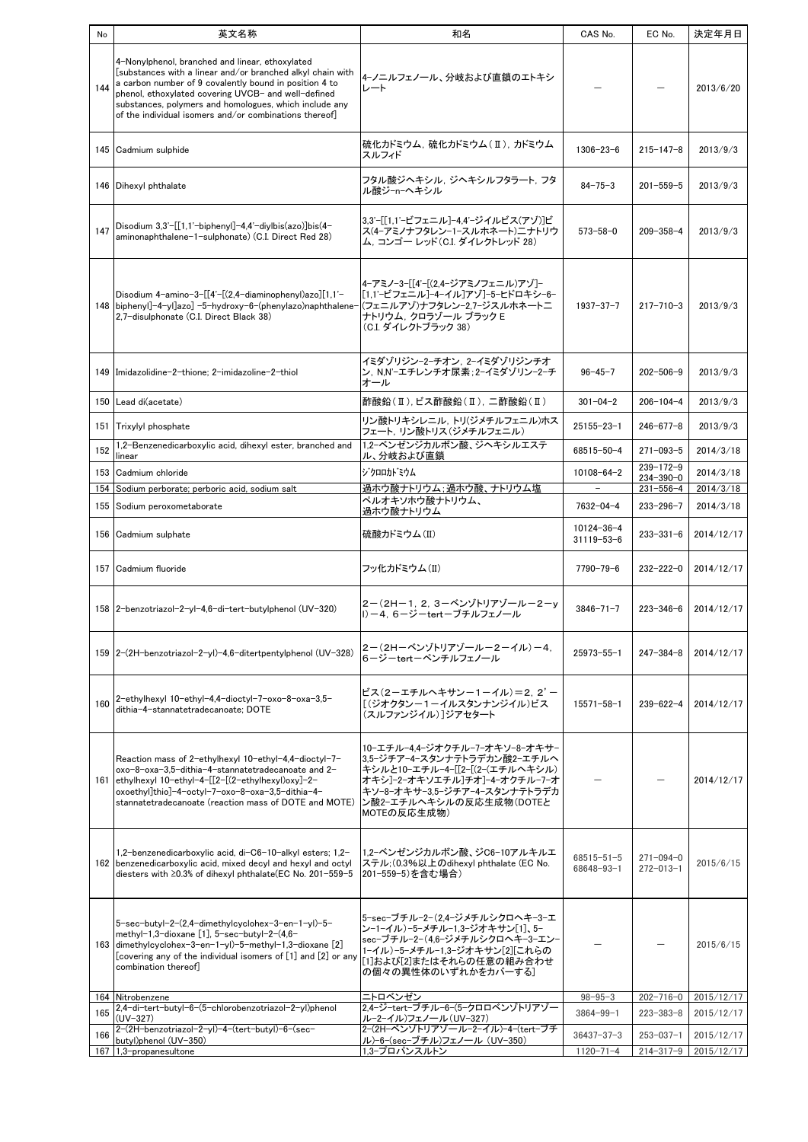| No  | 英文名称                                                                                                                                                                                                                                                                                                                                               | 和名                                                                                                                                                                                                        | CAS No.                                      | EC No.                             | 決定年月日                  |
|-----|----------------------------------------------------------------------------------------------------------------------------------------------------------------------------------------------------------------------------------------------------------------------------------------------------------------------------------------------------|-----------------------------------------------------------------------------------------------------------------------------------------------------------------------------------------------------------|----------------------------------------------|------------------------------------|------------------------|
| 144 | 4-Nonylphenol, branched and linear, ethoxylated<br>[substances with a linear and/or branched alkyl chain with<br>a carbon number of 9 covalently bound in position 4 to<br>phenol, ethoxylated covering UVCB- and well-defined<br>substances, polymers and homologues, which include any<br>of the individual isomers and/or combinations thereof] | 4ーノニルフェノール、分岐および直鎖のエトキシ<br>レート                                                                                                                                                                            |                                              |                                    | 2013/6/20              |
|     | 145 Cadmium sulphide                                                                                                                                                                                                                                                                                                                               | 硫化カドミウム, 硫化カドミウム(Ⅱ), カドミウム<br>スルフィド                                                                                                                                                                       | $1306 - 23 - 6$                              | $215 - 147 - 8$                    | 2013/9/3               |
|     | 146 Dihexyl phthalate                                                                                                                                                                                                                                                                                                                              | フタル酸ジヘキシル ジヘキシルフタラート フタ<br>ル酸ジーnーへキシル                                                                                                                                                                     | $84 - 75 - 3$                                | $201 - 559 - 5$                    | 2013/9/3               |
| 147 | Disodium $3,3'$ -[[1,1'-biphenyl]-4,4'-diylbis(azo)]bis(4-<br>aminonaphthalene-1-sulphonate) (C.I. Direct Red 28)                                                                                                                                                                                                                                  | 3,3'ー[[1,1'ービフェニル]ー4,4'ージイルビス(アゾ)]ビ<br>ス(4-アミノナフタレン-1-スルホネート)ニナトリウ<br>ム. コンゴー レッド(C.I. ダイレクトレッド 28)                                                                                                       | $573 - 58 - 0$                               | $209 - 358 - 4$                    | 2013/9/3               |
|     | Disodium 4-amino-3-[[4'-[(2,4-diaminophenyl)azo][1,1'-<br>148   biphenyl] -4-yl]azo] -5-hydroxy-6-(phenylazo) naphthalene-<br>2,7-disulphonate (C.I. Direct Black 38)                                                                                                                                                                              | 4-アミノ-3-[[4'-[(2.4-ジアミノフェニル)アゾ]-<br> [1.1'ービフェニル]ー4ーイル]アゾ]ー5ーヒドロキシー6ー<br> (フェニルアゾ)ナフタレンー2.7ージスルホネートニ<br>ナトリウム. クロラゾール ブラック E<br>(C.I. ダイレクトブラック 38)                                                       | $1937 - 37 - 7$                              | $217 - 710 - 3$                    | 2013/9/3               |
|     | 149 Imidazolidine-2-thione; 2-imidazoline-2-thiol                                                                                                                                                                                                                                                                                                  | イミダゾリジン-2-チオン. 2-イミダゾリジンチオ<br>ン, N.N'-エチレンチオ尿素:2-イミダゾリン-2-チ<br>オール                                                                                                                                        | $96 - 45 - 7$                                | $202 - 506 - 9$                    | 2013/9/3               |
|     | 150 Lead di(acetate)                                                                                                                                                                                                                                                                                                                               | 酢酸鉛(Ⅱ),ビス酢酸鉛(Ⅱ), 二酢酸鉛(Ⅱ)                                                                                                                                                                                  | $301 - 04 - 2$                               | $206 - 104 - 4$                    | 2013/9/3               |
|     | 151 Trixylyl phosphate<br>1,2-Benzenedicarboxylic acid, dihexyl ester, branched and                                                                                                                                                                                                                                                                | リン酸トリキシレニル, トリ(ジメチルフェニル)ホス<br>フェート, リン酸トリス(ジメチルフェニル)<br>1.2-ベンゼンジカルボン酸、ジヘキシルエステ                                                                                                                           | $25155 - 23 - 1$                             | $246 - 677 - 8$                    | 2013/9/3               |
| 152 | linear                                                                                                                                                                                                                                                                                                                                             | ル、分岐および直鎖                                                                                                                                                                                                 | 68515-50-4                                   | $271 - 093 - 5$                    | 2014/3/18              |
|     | 153 Cadmium chloride                                                                                                                                                                                                                                                                                                                               | <b>ジクロロカドミウム</b>                                                                                                                                                                                          | $10108 - 64 - 2$<br>$\overline{\phantom{a}}$ | $239 - 172 - 9$<br>234-390-0       | 2014/3/18              |
|     | 154 Sodium perborate; perboric acid, sodium salt<br>155 Sodium peroxometaborate                                                                                                                                                                                                                                                                    | 過ホウ酸ナトリウム;過ホウ酸、ナトリウム塩<br>ペルオキソホウ酸ナトリウム、                                                                                                                                                                   | 7632-04-4                                    | $231 - 556 - 4$<br>$233 - 296 - 7$ | 2014/3/18<br>2014/3/18 |
|     | 156 Cadmium sulphate                                                                                                                                                                                                                                                                                                                               | 過ホウ酸ナトリウム<br>硫酸カドミウム(II)                                                                                                                                                                                  | $10124 - 36 - 4$<br>$31119 - 53 - 6$         | $233 - 331 - 6$                    | 2014/12/17             |
|     | 157 Cadmium fluoride                                                                                                                                                                                                                                                                                                                               | フッ化カドミウム(II)                                                                                                                                                                                              | $7790 - 79 - 6$                              | $232 - 222 - 0$                    | 2014/12/17             |
|     | 158 2-benzotriazol-2-yl-4,6-di-tert-butylphenol (UV-320)                                                                                                                                                                                                                                                                                           | 2-(2H-1, 2, 3-ベンゾトリアゾールー2-y<br>l)-4.6-ジーtertーブチルフェノール                                                                                                                                                     | $3846 - 71 - 7$                              | $223 - 346 - 6$                    | 2014/12/17             |
|     | 159   2-(2H-benzotriazol-2-yl)-4,6-ditertpentylphenol (UV-328)                                                                                                                                                                                                                                                                                     | 2-(2H-ベンゾトリアゾールー2-イル)-4,<br>6ージーtertーペンチルフェノール                                                                                                                                                            | 25973-55-1                                   | $247 - 384 - 8$                    | 2014/12/17             |
| 160 | 2-ethylhexyl 10-ethyl-4,4-dioctyl-7-oxo-8-oxa-3,5-<br>dithia-4-stannatetradecanoate: DOTE                                                                                                                                                                                                                                                          | ビス(2ーエチルヘキサンー1ーイル)=2.2'-<br>「(ジオクタンー1ーイルスタンナンジイル)ビス<br>(スルファンジイル)]ジアセタート                                                                                                                                  | $15571 - 58 - 1$                             | $239 - 622 - 4$                    | 2014/12/17             |
|     | Reaction mass of 2-ethylhexyl 10-ethyl-4.4-dioctyl-7-<br>oxo-8-oxa-3,5-dithia-4-stannatetradecanoate and 2-<br>161 ethylhexyl 10-ethyl-4-[[2-[(2-ethylhexyl)oxy]-2-<br>oxoethyl]thio]-4-octyl-7-oxo-8-oxa-3,5-dithia-4-<br>stannatetradecanoate (reaction mass of DOTE and MOTE)                                                                   | 10ーエチルー4.4ージオクチルーフーオキソー8ーオキサー<br>3.5-ジチアー4ースタンナテトラデカン酸2ーエチルへ<br>キシルと10-エチル-4-[[2-[(2-(エチルヘキシル)<br>オキシ]ー2ーオキソエチル]チオ]ー4ーオクチルーフーオ<br>キソー8ーオキサー3,5ージチアー4ースタンナテトラデカ<br> ン酸2-エチルヘキシルの反応生成物(DOTEと<br>MOTEの反応生成物) |                                              |                                    | 2014/12/17             |
|     | 1,2-benzenedicarboxylic acid, di-C6-10-alkyl esters; 1,2-<br>162 benzenedicarboxylic acid, mixed decyl and hexyl and octyl<br>diesters with ≥0.3% of dihexyl phthalate(EC No. 201-559-5                                                                                                                                                            | 1.2-ベンゼンジカルボン酸、ジC6-10アルキルエ<br>ステル: (0.3%以上のdihexyl phthalate (EC No.<br>201-559-5)を含む場合)                                                                                                                  | $68515 - 51 - 5$<br>68648-93-1               | $271 - 094 - 0$<br>$272 - 013 - 1$ | 2015/6/15              |
|     | 5-sec-butyl-2-(2,4-dimethylcyclohex-3-en-1-yl)-5-<br>methyl-1,3-dioxane [1], 5-sec-butyl-2-(4,6-<br>163 dimethylcyclohex-3-en-1-yl)-5-methyl-1,3-dioxane [2]<br>[covering any of the individual isomers of [1] and [2] or any<br>combination thereof]                                                                                              | 5-sec-ブチル−2-(2.4-ジメチルシクロヘキ−3−エ<br>ンー1ーイル)ー5ーメチルー1.3ージオキサン[1]、5ー<br>sec-ブチル-2-(4,6-ジメチルシクロヘキ-3-エン-<br>1-イル)-5-メチル-1.3-ジオキサン[2][これらの<br>[1]および[2]またはそれらの任意の組み合わせ<br>の個々の異性体のいずれかをカバーする]                     |                                              |                                    | 2015/6/15              |
|     | 164 Nitrobenzene<br>2.4-di-tert-butyl-6-(5-chlorobenzotriazol-2-yl)phenol                                                                                                                                                                                                                                                                          | ニトロベンゼン<br>2.4-ジ-tert-ブチル-6-(5-クロロベンゾトリアゾー                                                                                                                                                                | $98 - 95 - 3$                                | $202 - 716 - 0$                    | 2015/12/17             |
| 165 | $(UV-327)$                                                                                                                                                                                                                                                                                                                                         | ルー2ーイル)フェノール(UV-327)                                                                                                                                                                                      | $3864 - 99 - 1$                              | $223 - 383 - 8$                    | 2015/12/17             |
| 166 | 2-(2H-benzotriazol-2-yl)-4-(tert-butyl)-6-(sec-<br>butyl)phenol (UV-350)                                                                                                                                                                                                                                                                           | 2-(2H-ベンゾトリアゾール-2-イル)-4-(tert-ブチ<br>ル)-6-(sec-ブチル)フェノール(UV-350)                                                                                                                                           | $36437 - 37 - 3$                             | $253 - 037 - 1$                    | 2015/12/17             |
|     | 167 1,3-propanesultone                                                                                                                                                                                                                                                                                                                             | 1,3-プロパンスルトン                                                                                                                                                                                              | $1120 - 71 - 4$                              | $214 - 317 - 9$                    | 2015/12/17             |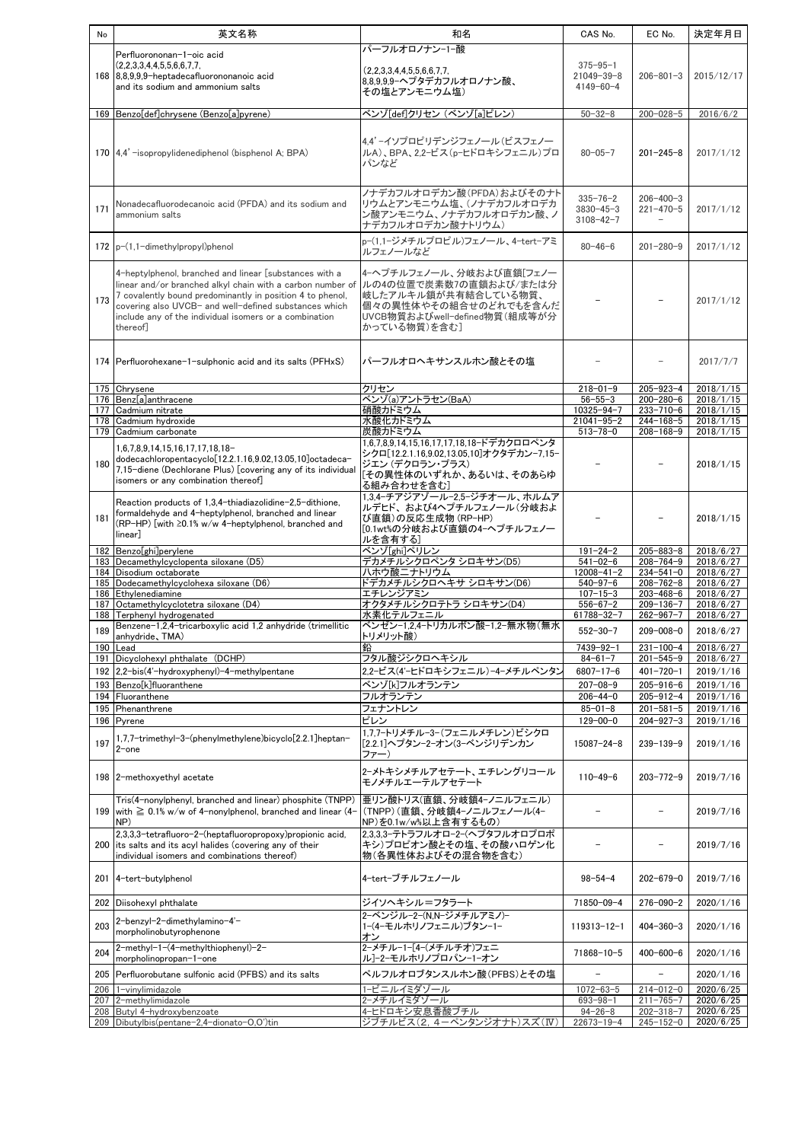| No  | 英文名称                                                                           | 和名                                                          | CAS No.           | EC No.          | 決定年月日                  |
|-----|--------------------------------------------------------------------------------|-------------------------------------------------------------|-------------------|-----------------|------------------------|
|     |                                                                                | パーフルオロノナン-1-酸                                               |                   |                 |                        |
|     | Perfluorononan-1-oic acid                                                      |                                                             | $375 - 95 - 1$    |                 |                        |
|     | (2,2,3,3,4,4,5,5,6,6,7,7,                                                      | (2.2.3.3.4.4.5.5.6.6.7.7.                                   |                   |                 | 2015/12/17             |
|     | 168 8,8,9,9,9-heptadecafluorononanoic acid                                     | 8,8,9,9,9-ヘプタデカフルオロノナン酸、                                    | 21049-39-8        | $206 - 801 - 3$ |                        |
|     | and its sodium and ammonium salts                                              | その塩とアンモニウム塩)                                                | $4149 - 60 - 4$   |                 |                        |
|     |                                                                                |                                                             |                   |                 |                        |
|     | 169 Benzo[def]chrysene (Benzo[a]pyrene)                                        | ベンゾ[def]クリセン (ベンゾ[a]ピレン)                                    | $50 - 32 - 8$     | $200 - 028 - 5$ | 2016/6/2               |
|     |                                                                                |                                                             |                   |                 |                        |
|     |                                                                                | 4.4' ーイソプロピリデンジフェノール(ビスフェノー                                 |                   |                 |                        |
|     | 170 4,4' -isopropylidenediphenol (bisphenol A; BPA)                            | ルA)、BPA、2.2-ビス(p-ヒドロキシフェニル)プロ                               | $80 - 05 - 7$     | $201 - 245 - 8$ | 2017/1/12              |
|     |                                                                                | パンなど                                                        |                   |                 |                        |
|     |                                                                                |                                                             |                   |                 |                        |
|     |                                                                                |                                                             |                   |                 |                        |
|     |                                                                                | ノナデカフルオロデカン酸 (PFDA) およびそのナト<br>リウムとアンモニウム塩、(ノナデカフルオロデカ      | $335 - 76 - 2$    | $206 - 400 - 3$ |                        |
| 171 | Nonadecafluorodecanoic acid (PFDA) and its sodium and<br>ammonium salts        | ン酸アンモニウム、ノナデカフルオロデカン酸、ノ                                     | $3830 - 45 - 3$   | $221 - 470 - 5$ | 2017/1/12              |
|     |                                                                                | ナデカフルオロデカン酸ナトリウム)                                           | $3108 - 42 - 7$   |                 |                        |
|     |                                                                                |                                                             |                   |                 |                        |
|     | $172$ p- $(1,1$ -dimethylpropyl)phenol                                         | p-(1,1-ジメチルプロピル)フェノール、4-tert-アミ                             | $80 - 46 - 6$     | $201 - 280 - 9$ | 2017/1/12              |
|     |                                                                                | ルフェノールなど                                                    |                   |                 |                        |
|     | 4-heptylphenol, branched and linear [substances with a                         | 4ーへプチルフェノール、分岐および直鎖[フェノー                                    |                   |                 |                        |
|     | linear and/or branched alkyl chain with a carbon number of                     | ルの4の位置で炭素数7の直鎖および/または分                                      |                   |                 |                        |
|     | 7 covalently bound predominantly in position 4 to phenol,                      | 岐したアルキル鎖が共有結合している物質、                                        |                   |                 |                        |
| 173 | covering also UVCB- and well-defined substances which                          | 個々の異性体やその組合せのどれでもを含んだ                                       |                   |                 | 2017/1/12              |
|     | include any of the individual isomers or a combination                         | UVCB物質およびwell-defined物質(組成等が分                               |                   |                 |                        |
|     | thereof]                                                                       | かっている物質)を含む]                                                |                   |                 |                        |
|     |                                                                                |                                                             |                   |                 |                        |
|     |                                                                                |                                                             |                   |                 |                        |
|     | 174 Perfluorohexane-1-sulphonic acid and its salts (PFHxS)                     | パーフルオロヘキサンスルホン酸とその塩                                         |                   |                 | 2017/7/7               |
|     |                                                                                |                                                             |                   |                 |                        |
|     | 175 Chrysene                                                                   | クリセン                                                        | $218 - 01 - 9$    | $205 - 923 - 4$ | 2018/1/15              |
|     | 176 Benz[a]anthracene                                                          | ベンゾ(a)アントラセン(BaA)                                           | $56 - 55 - 3$     | 200-280-6       | 2018/1/15              |
|     | 177 Cadmium nitrate                                                            | 硝酸カドミウム                                                     | $10325 - 94 - 7$  | $233 - 710 - 6$ | 2018/1/15              |
|     | 178 Cadmium hydroxide                                                          | 水酸化カドミウム                                                    | $21041 - 95 - 2$  | $244 - 168 - 5$ | 2018/1/15              |
|     | 179 Cadmium carbonate                                                          | 炭酸カドミウム                                                     | $513 - 78 - 0$    | $208 - 168 - 9$ | 2018/1/15              |
|     | 1,6,7,8,9,14,15,16,17,17,18,18-                                                | 1,6,7,8,9,14,15,16,17,17,18,18-ドデカクロロペンタ                    |                   |                 |                        |
|     | dodecachloropentacyclo[12.2.1.16,9.02,13.05,10]octadeca-                       | シクロ[12.2.1.16,9.02,13.05,10]オクタデカン-7,15-                    |                   |                 |                        |
| 180 | 7,15-diene (Dechlorane Plus) [covering any of its individual                   | ジエン (デクロラン・プラス)                                             |                   |                 | 2018/1/15              |
|     | isomers or any combination thereof]                                            | [その異性体のいずれか、あるいは、そのあらゆ                                      |                   |                 |                        |
|     |                                                                                | る組み合わせを含む]                                                  |                   |                 |                        |
|     | Reaction products of 1,3,4-thiadiazolidine-2,5-dithione,                       | 1,3,4-チアジアゾール-2,5-ジチオール、ホルムア                                |                   |                 |                        |
| 181 | formaldehyde and 4-heptylphenol, branched and linear                           | ルデヒド、および4ヘプチルフェノール (分岐およ<br>び直鎖)の反応生成物 (RP-HP)              |                   |                 | 2018/1/15              |
|     | (RP-HP) [with ≥0.1% w/w 4-heptylphenol, branched and                           | [0.1wt%の分岐および直鎖の4-ヘプチルフェノー                                  |                   |                 |                        |
|     | linear]                                                                        | ルを含有する                                                      |                   |                 |                        |
|     | 182 Benzo[ghi]perylene                                                         | ベンゾ[ghi]ペリレン                                                | $191 - 24 - 2$    | $205 - 883 - 8$ | 2018/6/27              |
|     | 183 Decamethylcyclopenta siloxane (D5)                                         | デカメチルシクロペンタ シロキサン(D5)                                       | $541 - 02 - 6$    | $208 - 764 - 9$ | 2018/6/27              |
|     | 184 Disodium octaborate                                                        | ハホウ酸ニナトリウム                                                  | $12008 - 41 - 2$  | 234-541-0       | 2018/6/27              |
|     | 185 Dodecamethylcyclohexa siloxane (D6)                                        | ドデカメチルシクロヘキサ シロキサン(D6)                                      | $540 - 97 - 6$    | $208 - 762 - 8$ | 2018/6/27              |
|     | 186 Ethylenediamine                                                            | エチレンジアミン                                                    | $107 - 15 - 3$    | 203-468-6       | $2018/6/\overline{27}$ |
|     | 187 Octamethylcyclotetra siloxane (D4)                                         | オクタメチルシクロテトラ シロキサン(D4)                                      | $556 - 67 - 2$    | $209 - 136 - 7$ | 2018/6/27              |
|     | 188 Terphenyl hydrogenated                                                     | 水素化テルフェニル                                                   | 61788-32-7        | $262 - 967 - 7$ | 2018/6/27              |
| 189 | Benzene-1,2,4-tricarboxylic acid 1,2 anhydride (trimellitic<br>anhydride, TMA) | ベンゼン-1,2,4-トリカルボン酸-1,2-無水物(無水<br>トリメリット酸)                   | $552 - 30 - 7$    | $209 - 008 - 0$ | 2018/6/27              |
|     | 190 Lead                                                                       | 鉛                                                           | 7439-92-1         | $231 - 100 - 4$ | 2018/6/27              |
|     | 191 Dicyclohexyl phthalate (DCHP)                                              | フタル酸ジシ <u>クロヘキシル</u>                                        | $84 - 61 - 7$     | $201 - 545 - 9$ | 2018/6/27              |
|     |                                                                                | 2,2-ビス(4'-ヒドロキシフェニル)-4-メチルペンタン                              | $6807 - 17 - 6$   | $401 - 720 - 1$ |                        |
|     | 192 2,2-bis(4'-hydroxyphenyl)-4-methylpentane                                  |                                                             |                   |                 | 2019/1/16              |
|     | 193 Benzo[k]fluoranthene                                                       | ベンゾ「k]フルオランテン                                               | $207 - 08 - 9$    | $205 - 916 - 6$ | 2019/1/16              |
|     | 194 Fluoranthene                                                               | フルオランテン                                                     | $206 - 44 - 0$    | $205 - 912 - 4$ | 2019/1/16              |
|     | 195 Phenanthrene                                                               | フェナントレン                                                     | $85 - 01 - 8$     | $201 - 581 - 5$ | 2019/1/16              |
|     | 196 Pyrene                                                                     | ピレン                                                         | $129 - 00 - 0$    | $204 - 927 - 3$ | 2019/1/16              |
|     | 1.7.7-trimethyl-3-(phenylmethylene)bicyclo[2.2.1]heptan-                       | 1.7.7-トリメチル-3-(フェニルメチレン)ビシクロ<br>[2.2.1]ヘプタン−2−オン(3−ベンジリデンカン |                   |                 |                        |
| 197 | $2$ -one                                                                       | ファー)                                                        | $15087 - 24 - 8$  | $239 - 139 - 9$ | 2019/1/16              |
|     |                                                                                |                                                             |                   |                 |                        |
|     | 198 2-methoxyethyl acetate                                                     | 2-メトキシメチルアセテート、エチレングリコール                                    | $110 - 49 - 6$    | $203 - 772 - 9$ | 2019/7/16              |
|     |                                                                                | モノメチルエーテルアセテート                                              |                   |                 |                        |
|     | Tris(4-nonylphenyl, branched and linear) phosphite (TNPP)                      | 亜リン酸トリス(直鎖、分岐鎖4ーノニルフェニル)                                    |                   |                 |                        |
|     | 199 with $\geq 0.1\%$ w/w of 4-nonviphenol, branched and linear (4-            | (TNPP)(直鎖、分岐鎖4ーノニルフェノール(4ー                                  |                   |                 | 2019/7/16              |
|     | NP)                                                                            | NP)を0.1w/w%以上含有するもの)                                        |                   |                 |                        |
|     | 2,3,3,3-tetrafluoro-2-(heptafluoropropoxy)propionic acid,                      | 2,3,3,3-テトラフルオロ-2-(ヘプタフルオロプロポ                               |                   |                 |                        |
|     | 200 its salts and its acyl halides (covering any of their                      | キシ)プロピオン酸とその塩、その酸ハロゲン化                                      |                   |                 | 2019/7/16              |
|     | individual isomers and combinations thereof)                                   | 物(各異性体およびその混合物を含む)                                          |                   |                 |                        |
|     |                                                                                |                                                             |                   |                 |                        |
|     | 201 4-tert-butylphenol                                                         | 4-tert-ブチルフェノール                                             | $98 - 54 - 4$     | $202 - 679 - 0$ | 2019/7/16              |
|     |                                                                                |                                                             |                   |                 |                        |
| 202 | Diisohexyl phthalate                                                           | ジイソヘキシル=フタラート                                               | 71850-09-4        | $276 - 090 - 2$ | 2020/1/16              |
|     | 2-benzyl-2-dimethylamino-4'-                                                   | 2-ベンジル-2-(N.N-ジメチルアミノ)-                                     |                   |                 |                        |
| 203 | morpholinobutyrophenone                                                        | 1-(4-モルホリノフェニル)ブタン-1-                                       | $119313 - 12 - 1$ | $404 - 360 - 3$ | 2020/1/16              |
|     |                                                                                | オン                                                          |                   |                 |                        |
| 204 | 2-methyl-1-(4-methylthiophenyl)-2-                                             | 2-メチル-1-[4-(メチルチオ)フェニ                                       | 71868-10-5        | $400 - 600 - 6$ | 2020/1/16              |
|     | morpholinopropan-1-one                                                         | ル]ー2ーモルホリノブロパンー1ーオン                                         |                   |                 |                        |
|     | 205 Perfluorobutane sulfonic acid (PFBS) and its salts                         | ペルフルオロブタンスルホン酸(PFBS)とその塩                                    |                   |                 | 2020/1/16              |
|     | 206 1-vinylimidazole                                                           | 1-ビニルイミダゾール                                                 | $1072 - 63 - 5$   | $214 - 012 - 0$ | 2020/6/25              |
|     | 207 2-methylimidazole                                                          | 2-メチルイミダゾール                                                 | $693 - 98 - 1$    | $211 - 765 - 7$ | 2020/6/25              |
|     | 208 Butyl 4-hydroxybenzoate                                                    | 4-ヒドロキシ安息香酸ブチル                                              | $94 - 26 - 8$     | $202 - 318 - 7$ | 2020/6/25              |
|     | 209 Dibutylbis(pentane-2,4-dionato-O,O')tin                                    | ジブチルビス(2, 4-ペンタンジオナト)スズ(IV)                                 | $22673 - 19 - 4$  | $245 - 152 - 0$ | 2020/6/25              |